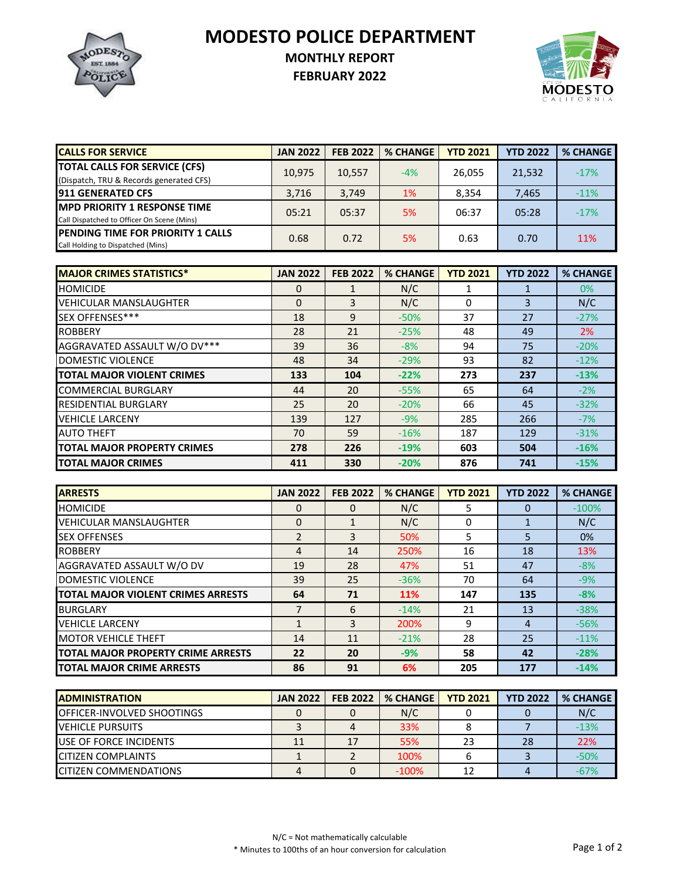**MODESTO POLICE DEPARTMENT**



## **MONTHLY REPORT**

**FEBRUARY 2022**



| <b>CALLS FOR SERVICE</b>                                                           | <b>JAN 2022</b> | <b>FEB 2022</b> | <b>% CHANGE</b> | <b>YTD 2021</b> | <b>YTD 2022</b> | <b>% CHANGE</b> |
|------------------------------------------------------------------------------------|-----------------|-----------------|-----------------|-----------------|-----------------|-----------------|
| <b>TOTAL CALLS FOR SERVICE (CFS)</b><br>(Dispatch, TRU & Records generated CFS)    | 10,975          | 10.557          | $-4%$           | 26.055          | 21,532          | $-17%$          |
| <b>911 GENERATED CFS</b>                                                           | 3.716           | 3,749           | 1%              | 8,354           | 7,465           | $-11\%$         |
| <b>IMPD PRIORITY 1 RESPONSE TIME</b><br>Call Dispatched to Officer On Scene (Mins) | 05:21           | 05:37           | 5%              | 06:37           | 05:28           | $-17%$          |
| <b>IPENDING TIME FOR PRIORITY 1 CALLS</b><br>Call Holding to Dispatched (Mins)     | 0.68            | 0.72            | 5%              | 0.63            | 0.70            | 11%             |

| <b>MAJOR CRIMES STATISTICS*</b>    | <b>JAN 2022</b> | <b>FEB 2022</b> | <b>% CHANGE</b> | <b>YTD 2021</b> | <b>YTD 2022</b> | <b>% CHANGE</b> |
|------------------------------------|-----------------|-----------------|-----------------|-----------------|-----------------|-----------------|
| <b>HOMICIDE</b>                    | 0               |                 | N/C             |                 |                 | 0%              |
| <b>VEHICULAR MANSLAUGHTER</b>      | $\Omega$        | 3               | N/C             | 0               | 3               | N/C             |
| SEX OFFENSES***                    | 18              | 9               | $-50%$          | 37              | 27              | $-27%$          |
| <b>ROBBERY</b>                     | 28              | 21              | $-25%$          | 48              | 49              | <b>2%</b>       |
| AGGRAVATED ASSAULT W/O DV***       | 39              | 36              | $-8%$           | 94              | 75              | $-20%$          |
| DOMESTIC VIOLENCE                  | 48              | 34              | $-29%$          | 93              | 82              | $-12%$          |
| <b>TOTAL MAJOR VIOLENT CRIMES</b>  | 133             | 104             | $-22%$          | 273             | 237             | $-13%$          |
| <b>COMMERCIAL BURGLARY</b>         | 44              | 20              | $-55%$          | 65              | 64              | $-2%$           |
| <b>RESIDENTIAL BURGLARY</b>        | 25              | 20              | $-20%$          | 66              | 45              | $-32%$          |
| <b>VEHICLE LARCENY</b>             | 139             | 127             | $-9%$           | 285             | 266             | $-7%$           |
| <b>AUTO THEFT</b>                  | 70              | 59              | $-16%$          | 187             | 129             | $-31%$          |
| <b>TOTAL MAJOR PROPERTY CRIMES</b> | 278             | 226             | $-19%$          | 603             | 504             | $-16%$          |
| <b>TOTAL MAJOR CRIMES</b>          | 411             | 330             | $-20%$          | 876             | 741             | $-15%$          |

| <b>ARRESTS</b>                     | <b>JAN 2022</b> | <b>FEB 2022</b> | <b>% CHANGE</b> | <b>YTD 2021</b> | <b>YTD 2022</b> | <b>% CHANGE</b> |
|------------------------------------|-----------------|-----------------|-----------------|-----------------|-----------------|-----------------|
| <b>HOMICIDE</b>                    | 0               | 0               | N/C             |                 |                 | $-100%$         |
| <b>VEHICULAR MANSLAUGHTER</b>      | 0               |                 | N/C             | ი               |                 | N/C             |
| <b>SEX OFFENSES</b>                | $\mathfrak{p}$  | 3               | 50%             | 5               | 5               | 0%              |
| <b>ROBBERY</b>                     | $\overline{4}$  | 14              | 250%            | 16              | 18              | 13%             |
| AGGRAVATED ASSAULT W/O DV          | 19              | 28              | 47%             | 51              | 47              | $-8%$           |
| DOMESTIC VIOLENCE                  | 39              | 25              | $-36%$          | 70              | 64              | $-9%$           |
| TOTAL MAJOR VIOLENT CRIMES ARRESTS | 64              | 71              | <b>11%</b>      | 147             | 135             | $-8%$           |
| <b>BURGLARY</b>                    | 7               | 6               | $-14%$          | 21              | 13              | $-38%$          |
| <b>VEHICLE LARCENY</b>             | $\mathbf{1}$    | 3               | 200%            | 9               | 4               | $-56%$          |
| <b>MOTOR VEHICLE THEFT</b>         | 14              | 11              | $-21%$          | 28              | 25              | $-11%$          |
| TOTAL MAJOR PROPERTY CRIME ARRESTS | 22              | 20              | $-9%$           | 58              | 42              | $-28%$          |
| <b>TOTAL MAJOR CRIME ARRESTS</b>   | 86              | 91              | 6%              | 205             | 177             | $-14%$          |

| <b>IADMINISTRATION</b>             | <b>JAN 2022</b> | <b>FEB 2022</b> | <b>% CHANGE</b> | <b>YTD 2021</b> | <b>YTD 2022</b> | % CHANGE |
|------------------------------------|-----------------|-----------------|-----------------|-----------------|-----------------|----------|
| <b>IOFFICER-INVOLVED SHOOTINGS</b> |                 |                 | N/C             |                 |                 | N/C      |
| <b>VEHICLE PURSUITS</b>            |                 |                 | 33%             |                 |                 | $-13%$   |
| <b>LUSE OF FORCE INCIDENTS</b>     | 11              | 17              | 55%             | 23              | 28              | 22%      |
| <b>CITIZEN COMPLAINTS</b>          |                 |                 | 100%            |                 |                 | $-50%$   |
| <b>CITIZEN COMMENDATIONS</b>       |                 |                 | $-100\%$        |                 |                 | $-67%$   |